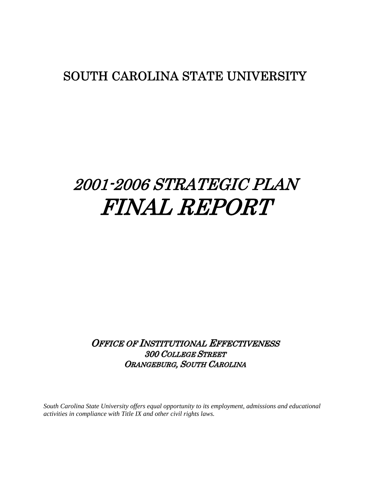# SOUTH CAROLINA STATE UNIVERSITY

# 2001-2006 STRATEGIC PLAN FINAL REPORT

OFFICE OF INSTITUTIONAL EFFECTIVENESS 300 COLLEGE STREET ORANGEBURG, SOUTH CAROLINA

*South Carolina State University offers equal opportunity to its employment, admissions and educational activities in compliance with Title IX and other civil rights laws.*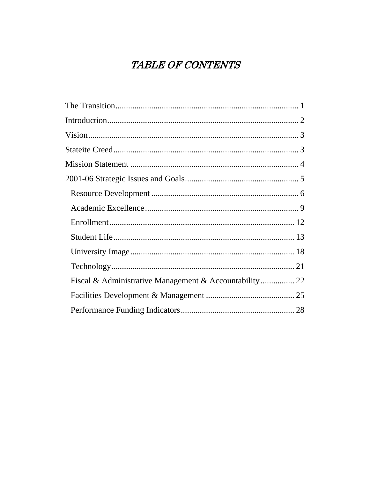# TABLE OF CONTENTS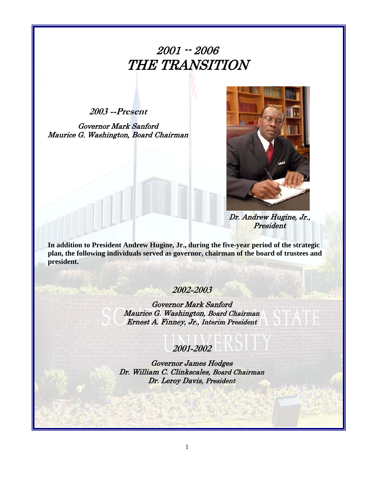# 2001 -- 2006 THE TRANSITION

**2003 --Present** 

Governor Mark Sanford Maurice G. Washington, Board Chairman



Dr. Andrew Hugine, Jr., President

**In addition to President Andrew Hugine, Jr., during the five-year period of the strategic plan, the following individuals served as governor, chairman of the board of trustees and president.** 

### **2002-2003**

Governor Mark Sanford Maurice G. Washington, Board Chairman Ernest A. Finney, Jr., Interim President

**2001-2002** 

Governor James Hodges Dr. William C. Clinkscales, Board Chairman Dr. Leroy Davis, President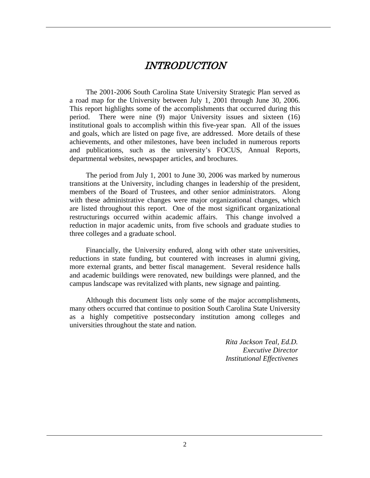### INTRODUCTION

The 2001-2006 South Carolina State University Strategic Plan served as a road map for the University between July 1, 2001 through June 30, 2006. This report highlights some of the accomplishments that occurred during this period. There were nine (9) major University issues and sixteen (16) institutional goals to accomplish within this five-year span. All of the issues and goals, which are listed on page five, are addressed. More details of these achievements, and other milestones, have been included in numerous reports and publications, such as the university's FOCUS, Annual Reports, departmental websites, newspaper articles, and brochures.

The period from July 1, 2001 to June 30, 2006 was marked by numerous transitions at the University, including changes in leadership of the president, members of the Board of Trustees, and other senior administrators. Along with these administrative changes were major organizational changes, which are listed throughout this report. One of the most significant organizational restructurings occurred within academic affairs. This change involved a reduction in major academic units, from five schools and graduate studies to three colleges and a graduate school.

Financially, the University endured, along with other state universities, reductions in state funding, but countered with increases in alumni giving, more external grants, and better fiscal management. Several residence halls and academic buildings were renovated, new buildings were planned, and the campus landscape was revitalized with plants, new signage and painting.

Although this document lists only some of the major accomplishments, many others occurred that continue to position South Carolina State University as a highly competitive postsecondary institution among colleges and universities throughout the state and nation.

> *Rita Jackson Teal, Ed.D. Executive Director Institutional Effectivenes*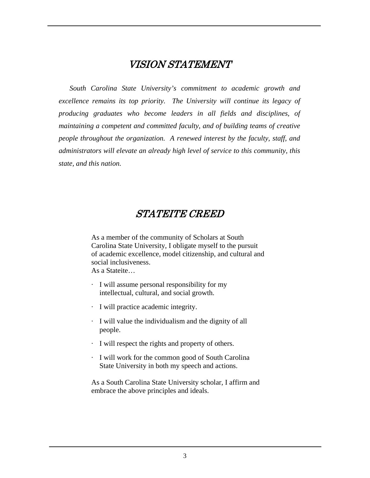### VISION STATEMENT

*South Carolina State University's commitment to academic growth and excellence remains its top priority. The University will continue its legacy of producing graduates who become leaders in all fields and disciplines, of maintaining a competent and committed faculty, and of building teams of creative people throughout the organization. A renewed interest by the faculty, staff, and administrators will elevate an already high level of service to this community, this state, and this nation.* 

### STATEITE CREED

As a member of the community of Scholars at South Carolina State University, I obligate myself to the pursuit of academic excellence, model citizenship, and cultural and social inclusiveness. As a Stateite…

- · I will assume personal responsibility for my intellectual, cultural, and social growth.
- · I will practice academic integrity.
- · I will value the individualism and the dignity of all people.
- · I will respect the rights and property of others.
- · I will work for the common good of South Carolina State University in both my speech and actions.

As a South Carolina State University scholar, I affirm and embrace the above principles and ideals.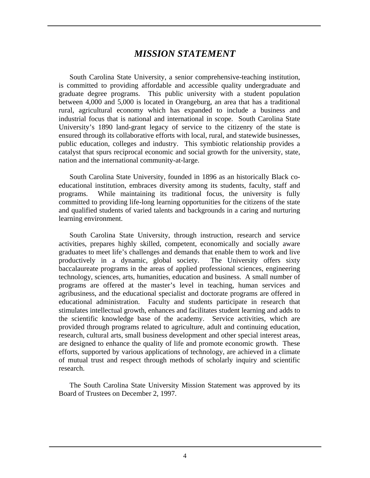### *MISSION STATEMENT*

South Carolina State University, a senior comprehensive-teaching institution, is committed to providing affordable and accessible quality undergraduate and graduate degree programs. This public university with a student population between 4,000 and 5,000 is located in Orangeburg, an area that has a traditional rural, agricultural economy which has expanded to include a business and industrial focus that is national and international in scope. South Carolina State University's 1890 land-grant legacy of service to the citizenry of the state is ensured through its collaborative efforts with local, rural, and statewide businesses, public education, colleges and industry. This symbiotic relationship provides a catalyst that spurs reciprocal economic and social growth for the university, state, nation and the international community-at-large.

South Carolina State University, founded in 1896 as an historically Black coeducational institution, embraces diversity among its students, faculty, staff and programs. While maintaining its traditional focus, the university is fully committed to providing life-long learning opportunities for the citizens of the state and qualified students of varied talents and backgrounds in a caring and nurturing learning environment.

South Carolina State University, through instruction, research and service activities, prepares highly skilled, competent, economically and socially aware graduates to meet life's challenges and demands that enable them to work and live productively in a dynamic, global society. The University offers sixty baccalaureate programs in the areas of applied professional sciences, engineering technology, sciences, arts, humanities, education and business. A small number of programs are offered at the master's level in teaching, human services and agribusiness, and the educational specialist and doctorate programs are offered in educational administration. Faculty and students participate in research that stimulates intellectual growth, enhances and facilitates student learning and adds to the scientific knowledge base of the academy. Service activities, which are provided through programs related to agriculture, adult and continuing education, research, cultural arts, small business development and other special interest areas, are designed to enhance the quality of life and promote economic growth. These efforts, supported by various applications of technology, are achieved in a climate of mutual trust and respect through methods of scholarly inquiry and scientific research.

The South Carolina State University Mission Statement was approved by its Board of Trustees on December 2, 1997.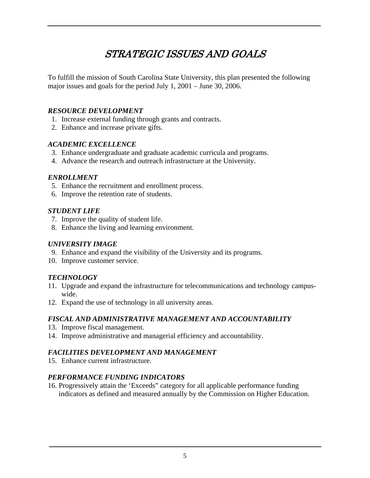# STRATEGIC ISSUES AND GOALS

To fulfill the mission of South Carolina State University, this plan presented the following major issues and goals for the period July 1, 2001 – June 30, 2006.

### *RESOURCE DEVELOPMENT*

- 1. Increase external funding through grants and contracts.
- 2. Enhance and increase private gifts.

### *ACADEMIC EXCELLENCE*

- 3. Enhance undergraduate and graduate academic curricula and programs.
- 4. Advance the research and outreach infrastructure at the University.

### *ENROLLMENT*

- 5. Enhance the recruitment and enrollment process.
- 6. Improve the retention rate of students.

#### *STUDENT LIFE*

- 7. Improve the quality of student life.
- 8. Enhance the living and learning environment.

#### *UNIVERSITY IMAGE*

- 9. Enhance and expand the visibility of the University and its programs.
- 10. Improve customer service.

### *TECHNOLOGY*

- 11. Upgrade and expand the infrastructure for telecommunications and technology campuswide.
- 12. Expand the use of technology in all university areas.

### *FISCAL AND ADMINISTRATIVE MANAGEMENT AND ACCOUNTABILITY*

- 13. Improve fiscal management.
- 14. Improve administrative and managerial efficiency and accountability.

### *FACILITIES DEVELOPMENT AND MANAGEMENT*

15. Enhance current infrastructure.

### *PERFORMANCE FUNDING INDICATORS*

16. Progressively attain the 'Exceeds" category for all applicable performance funding indicators as defined and measured annually by the Commission on Higher Education.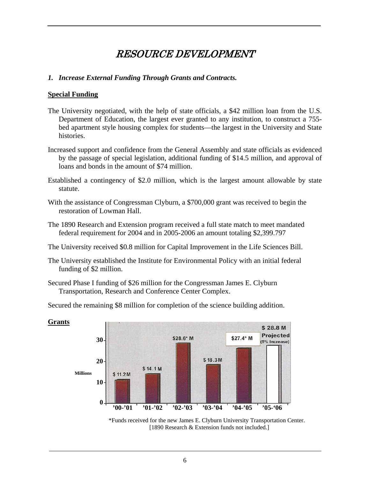### RESOURCE DEVELOPMENT

### *1. Increase External Funding Through Grants and Contracts.*

#### **Special Funding**

- The University negotiated, with the help of state officials, a \$42 million loan from the U.S. Department of Education, the largest ever granted to any institution, to construct a 755 bed apartment style housing complex for students—the largest in the University and State histories.
- Increased support and confidence from the General Assembly and state officials as evidenced by the passage of special legislation, additional funding of \$14.5 million, and approval of loans and bonds in the amount of \$74 million.
- Established a contingency of \$2.0 million, which is the largest amount allowable by state statute.
- With the assistance of Congressman Clyburn, a \$700,000 grant was received to begin the restoration of Lowman Hall.
- The 1890 Research and Extension program received a full state match to meet mandated federal requirement for 2004 and in 2005-2006 an amount totaling \$2,399.797
- The University received \$0.8 million for Capital Improvement in the Life Sciences Bill.
- The University established the Institute for Environmental Policy with an initial federal funding of \$2 million.
- Secured Phase I funding of \$26 million for the Congressman James E. Clyburn Transportation, Research and Conference Center Complex.
- Secured the remaining \$8 million for completion of the science building addition.



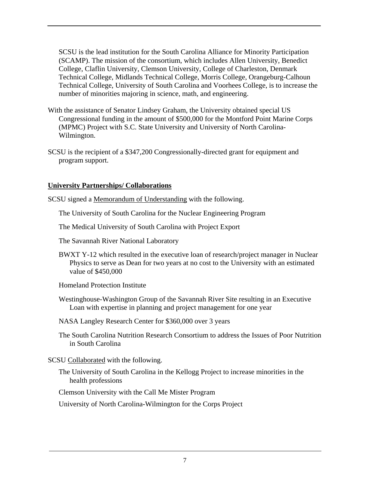SCSU is the lead institution for the South Carolina Alliance for Minority Participation (SCAMP). The mission of the consortium, which includes Allen University, Benedict College, Claflin University, Clemson University, College of Charleston, Denmark Technical College, Midlands Technical College, Morris College, Orangeburg-Calhoun Technical College, University of South Carolina and Voorhees College, is to increase the number of minorities majoring in science, math, and engineering.

- With the assistance of Senator Lindsey Graham, the University obtained special US Congressional funding in the amount of \$500,000 for the Montford Point Marine Corps (MPMC) Project with S.C. State University and University of North Carolina-Wilmington.
- SCSU is the recipient of a \$347,200 Congressionally-directed grant for equipment and program support.

### **University Partnerships/ Collaborations**

SCSU signed a Memorandum of Understanding with the following.

The University of South Carolina for the Nuclear Engineering Program

The Medical University of South Carolina with Project Export

The Savannah River National Laboratory

BWXT Y-12 which resulted in the executive loan of research/project manager in Nuclear Physics to serve as Dean for two years at no cost to the University with an estimated value of \$450,000

Homeland Protection Institute

- Westinghouse-Washington Group of the Savannah River Site resulting in an Executive Loan with expertise in planning and project management for one year
- NASA Langley Research Center for \$360,000 over 3 years
- The South Carolina Nutrition Research Consortium to address the Issues of Poor Nutrition in South Carolina

### SCSU Collaborated with the following.

The University of South Carolina in the Kellogg Project to increase minorities in the health professions

Clemson University with the Call Me Mister Program

University of North Carolina-Wilmington for the Corps Project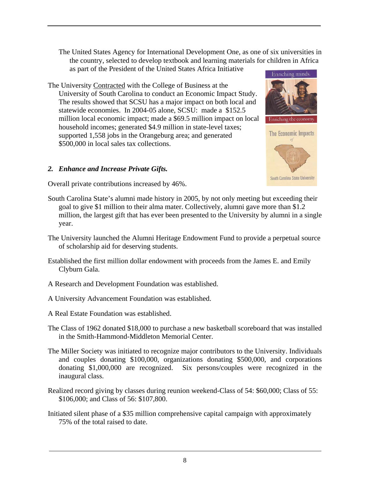The United States Agency for International Development One, as one of six universities in the country, selected to develop textbook and learning materials for children in Africa as part of the President of the United States Africa Initiative

The University Contracted with the College of Business at the University of South Carolina to conduct an Economic Impact Study. The results showed that SCSU has a major impact on both local and statewide economies. In 2004-05 alone, SCSU: made a \$152.5 million local economic impact; made a \$69.5 million impact on local household incomes; generated \$4.9 million in state-level taxes; supported 1,558 jobs in the Orangeburg area; and generated \$500,000 in local sales tax collections.

### *2. Enhance and Increase Private Gifts.*



**South Carolina State University** 

Overall private contributions increased by 46%.

- South Carolina State's alumni made history in 2005, by not only meeting but exceeding their goal to give \$1 million to their alma mater. Collectively, alumni gave more than \$1.2 million, the largest gift that has ever been presented to the University by alumni in a single year.
- The University launched the Alumni Heritage Endowment Fund to provide a perpetual source of scholarship aid for deserving students.
- Established the first million dollar endowment with proceeds from the James E. and Emily Clyburn Gala.
- A Research and Development Foundation was established.
- A University Advancement Foundation was established.
- A Real Estate Foundation was established.
- The Class of 1962 donated \$18,000 to purchase a new basketball scoreboard that was installed in the Smith-Hammond-Middleton Memorial Center.
- The Miller Society was initiated to recognize major contributors to the University. Individuals and couples donating \$100,000, organizations donating \$500,000, and corporations donating \$1,000,000 are recognized. Six persons/couples were recognized in the inaugural class.
- Realized record giving by classes during reunion weekend-Class of 54: \$60,000; Class of 55: \$106,000; and Class of 56: \$107,800.
- Initiated silent phase of a \$35 million comprehensive capital campaign with approximately 75% of the total raised to date.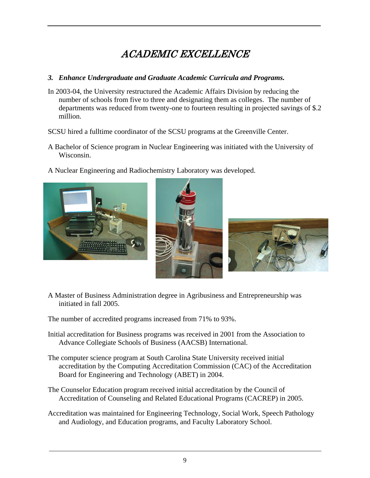# ACADEMIC EXCELLENCE

### *3. Enhance Undergraduate and Graduate Academic Curricula and Programs.*

- In 2003-04, the University restructured the Academic Affairs Division by reducing the number of schools from five to three and designating them as colleges. The number of departments was reduced from twenty-one to fourteen resulting in projected savings of \$.2 million.
- SCSU hired a fulltime coordinator of the SCSU programs at the Greenville Center.
- A Bachelor of Science program in Nuclear Engineering was initiated with the University of Wisconsin.
- A Nuclear Engineering and Radiochemistry Laboratory was developed.







A Master of Business Administration degree in Agribusiness and Entrepreneurship was initiated in fall 2005.

The number of accredited programs increased from 71% to 93%.

- Initial accreditation for Business programs was received in 2001 from the Association to Advance Collegiate Schools of Business (AACSB) International.
- The computer science program at South Carolina State University received initial accreditation by the Computing Accreditation Commission (CAC) of the Accreditation Board for Engineering and Technology (ABET) in 2004.
- The Counselor Education program received initial accreditation by the Council of Accreditation of Counseling and Related Educational Programs (CACREP) in 2005.
- Accreditation was maintained for Engineering Technology, Social Work, Speech Pathology and Audiology, and Education programs, and Faculty Laboratory School.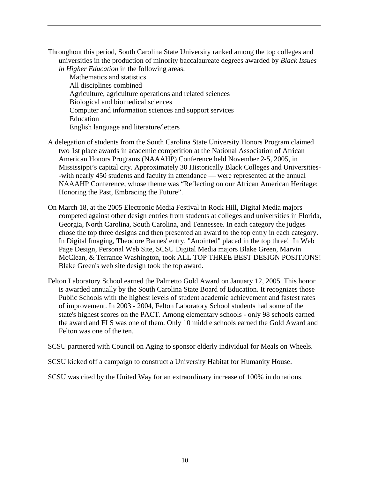Throughout this period, South Carolina State University ranked among the top colleges and universities in the production of minority baccalaureate degrees awarded by *Black Issues in Higher Education* in the following areas.

 Mathematics and statistics All disciplines combined Agriculture, agriculture operations and related sciences Biological and biomedical sciences Computer and information sciences and support services Education English language and literature/letters

- A delegation of students from the South Carolina State University Honors Program claimed two 1st place awards in academic competition at the National Association of African American Honors Programs (NAAAHP) Conference held November 2-5, 2005, in Mississippi's capital city. Approximately 30 Historically Black Colleges and Universities- -with nearly 450 students and faculty in attendance — were represented at the annual NAAAHP Conference, whose theme was "Reflecting on our African American Heritage: Honoring the Past, Embracing the Future".
- On March 18, at the 2005 Electronic Media Festival in Rock Hill, Digital Media majors competed against other design entries from students at colleges and universities in Florida, Georgia, North Carolina, South Carolina, and Tennessee. In each category the judges chose the top three designs and then presented an award to the top entry in each category. In Digital Imaging, Theodore Barnes' entry, "Anointed" placed in the top three! In Web Page Design, Personal Web Site, SCSU Digital Media majors Blake Green, Marvin McClean, & Terrance Washington, took ALL TOP THREE BEST DESIGN POSITIONS! Blake Green's web site design took the top award.
- Felton Laboratory School earned the Palmetto Gold Award on January 12, 2005. This honor is awarded annually by the South Carolina State Board of Education. It recognizes those Public Schools with the highest levels of student academic achievement and fastest rates of improvement. In 2003 - 2004, Felton Laboratory School students had some of the state's highest scores on the PACT. Among elementary schools - only 98 schools earned the award and FLS was one of them. Only 10 middle schools earned the Gold Award and Felton was one of the ten.
- SCSU partnered with Council on Aging to sponsor elderly individual for Meals on Wheels.
- SCSU kicked off a campaign to construct a University Habitat for Humanity House.
- SCSU was cited by the United Way for an extraordinary increase of 100% in donations.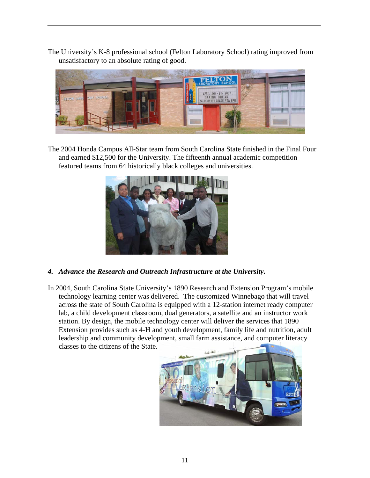The University's K-8 professional school (Felton Laboratory School) rating improved from unsatisfactory to an absolute rating of good.



The 2004 Honda Campus All-Star team from South Carolina State finished in the Final Four and earned \$12,500 for the University. The fifteenth annual academic competition featured teams from 64 historically black colleges and universities.



- *4. Advance the Research and Outreach Infrastructure at the University.*
- In 2004, South Carolina State University's 1890 Research and Extension Program's mobile technology learning center was delivered. The customized Winnebago that will travel across the state of South Carolina is equipped with a 12-station internet ready computer lab, a child development classroom, dual generators, a satellite and an instructor work station. By design, the mobile technology center will deliver the services that 1890 Extension provides such as 4-H and youth development, family life and nutrition, adult leadership and community development, small farm assistance, and computer literacy classes to the citizens of the State.

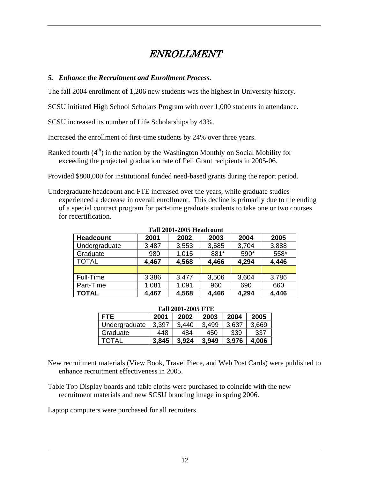### ENROLLMENT

### *5. Enhance the Recruitment and Enrollment Process.*

The fall 2004 enrollment of 1,206 new students was the highest in University history.

SCSU initiated High School Scholars Program with over 1,000 students in attendance.

SCSU increased its number of Life Scholarships by 43%.

Increased the enrollment of first-time students by 24% over three years.

Ranked fourth  $(4<sup>th</sup>)$  in the nation by the Washington Monthly on Social Mobility for exceeding the projected graduation rate of Pell Grant recipients in 2005-06.

Provided \$800,000 for institutional funded need-based grants during the report period.

Undergraduate headcount and FTE increased over the years, while graduate studies experienced a decrease in overall enrollment. This decline is primarily due to the ending of a special contract program for part-time graduate students to take one or two courses for recertification.

 $\frac{1}{2}$  **Fall 2001-2005**  $\frac{1}{2}$ 

| Fall 2001-2005 Headcount |       |       |       |       |       |  |  |  |  |
|--------------------------|-------|-------|-------|-------|-------|--|--|--|--|
| <b>Headcount</b>         | 2001  | 2002  | 2003  | 2004  | 2005  |  |  |  |  |
| Undergraduate            | 3,487 | 3,553 | 3,585 | 3,704 | 3,888 |  |  |  |  |
| Graduate                 | 980   | 1,015 | 881*  | 590*  | 558*  |  |  |  |  |
| <b>TOTAL</b>             | 4,467 | 4,568 | 4,466 | 4,294 | 4,446 |  |  |  |  |
|                          |       |       |       |       |       |  |  |  |  |
| Full-Time                | 3,386 | 3,477 | 3,506 | 3,604 | 3,786 |  |  |  |  |
| Part-Time                | 1,081 | 1,091 | 960   | 690   | 660   |  |  |  |  |
| <b>TOTAL</b>             | 4,467 | 4,568 | 4,466 | 4,294 | 4,446 |  |  |  |  |

#### **Fall 2001-2005 FTE**

| <b>FTE</b>    | 2001  | 2002  | 2003  | 2004  | 2005  |  |  |  |  |
|---------------|-------|-------|-------|-------|-------|--|--|--|--|
| Undergraduate | 3,397 | 3.440 | 3,499 | 3,637 | 3,669 |  |  |  |  |
| Graduate      | 448   | 484   | 450   | 339   | 337   |  |  |  |  |
| <b>TOTAL</b>  | 3,845 | 3.924 | 3.949 | 3.976 | 4,006 |  |  |  |  |

New recruitment materials (View Book, Travel Piece, and Web Post Cards) were published to enhance recruitment effectiveness in 2005.

Table Top Display boards and table cloths were purchased to coincide with the new recruitment materials and new SCSU branding image in spring 2006.

Laptop computers were purchased for all recruiters.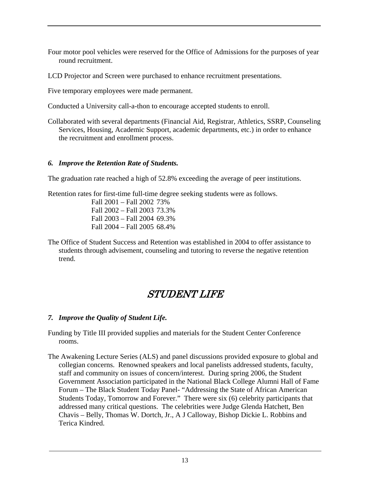- Four motor pool vehicles were reserved for the Office of Admissions for the purposes of year round recruitment.
- LCD Projector and Screen were purchased to enhance recruitment presentations.

Five temporary employees were made permanent.

Conducted a University call-a-thon to encourage accepted students to enroll.

Collaborated with several departments (Financial Aid, Registrar, Athletics, SSRP, Counseling Services, Housing, Academic Support, academic departments, etc.) in order to enhance the recruitment and enrollment process.

### *6. Improve the Retention Rate of Students.*

The graduation rate reached a high of 52.8% exceeding the average of peer institutions.

Retention rates for first-time full-time degree seeking students were as follows.

Fall 2001 – Fall 2002 73% Fall 2002 – Fall 2003 73.3% Fall 2003 – Fall 2004 69.3% Fall 2004 – Fall 2005 68.4%

The Office of Student Success and Retention was established in 2004 to offer assistance to students through advisement, counseling and tutoring to reverse the negative retention trend.

### STUDENT LIFE

### *7. Improve the Quality of Student Life.*

- Funding by Title III provided supplies and materials for the Student Center Conference rooms.
- The Awakening Lecture Series (ALS) and panel discussions provided exposure to global and collegian concerns. Renowned speakers and local panelists addressed students, faculty, staff and community on issues of concern/interest. During spring 2006, the Student Government Association participated in the National Black College Alumni Hall of Fame Forum – The Black Student Today Panel- "Addressing the State of African American Students Today, Tomorrow and Forever." There were six (6) celebrity participants that addressed many critical questions. The celebrities were Judge Glenda Hatchett, Ben Chavis – Belly, Thomas W. Dortch, Jr., A J Calloway, Bishop Dickie L. Robbins and Terica Kindred.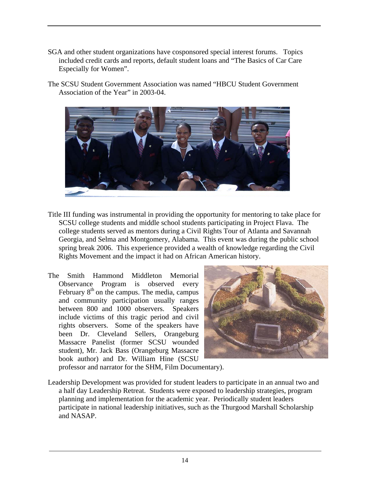- SGA and other student organizations have cosponsored special interest forums. Topics included credit cards and reports, default student loans and "The Basics of Car Care Especially for Women".
- The SCSU Student Government Association was named "HBCU Student Government Association of the Year" in 2003-04.



- Title III funding was instrumental in providing the opportunity for mentoring to take place for SCSU college students and middle school students participating in Project Flava. The college students served as mentors during a Civil Rights Tour of Atlanta and Savannah Georgia, and Selma and Montgomery, Alabama. This event was during the public school spring break 2006. This experience provided a wealth of knowledge regarding the Civil Rights Movement and the impact it had on African American history.
- The Smith Hammond Middleton Memorial Observance Program is observed every February  $8<sup>th</sup>$  on the campus. The media, campus and community participation usually ranges between 800 and 1000 observers. Speakers include victims of this tragic period and civil rights observers. Some of the speakers have been Dr. Cleveland Sellers, Orangeburg Massacre Panelist (former SCSU wounded student), Mr. Jack Bass (Orangeburg Massacre book author) and Dr. William Hine (SCSU



professor and narrator for the SHM, Film Documentary).

Leadership Development was provided for student leaders to participate in an annual two and a half day Leadership Retreat. Students were exposed to leadership strategies, program planning and implementation for the academic year. Periodically student leaders participate in national leadership initiatives, such as the Thurgood Marshall Scholarship and NASAP.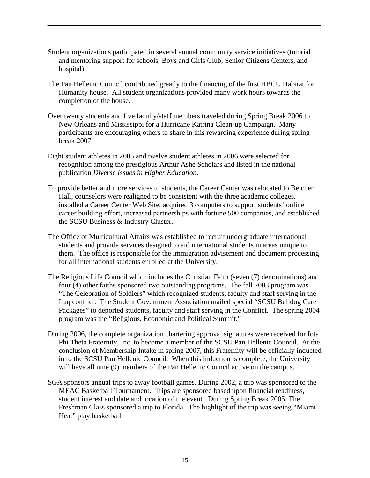- Student organizations participated in several annual community service initiatives (tutorial and mentoring support for schools, Boys and Girls Club, Senior Citizens Centers, and hospital)
- The Pan Hellenic Council contributed greatly to the financing of the first HBCU Habitat for Humanity house. All student organizations provided many work hours towards the completion of the house.
- Over twenty students and five faculty/staff members traveled during Spring Break 2006 to New Orleans and Mississippi for a Hurricane Katrina Clean-up Campaign. Many participants are encouraging others to share in this rewarding experience during spring break 2007.
- Eight student athletes in 2005 and twelve student athletes in 2006 were selected for recognition among the prestigious Arthur Ashe Scholars and listed in the national publication *Diverse Issues in Higher Education*.
- To provide better and more services to students, the Career Center was relocated to Belcher Hall, counselors were realigned to be consistent with the three academic colleges, installed a Career Center Web Site, acquired 3 computers to support students' online career building effort, increased partnerships with fortune 500 companies, and established the SCSU Business & Industry Cluster.
- The Office of Multicultural Affairs was established to recruit undergraduate international students and provide services designed to aid international students in areas unique to them. The office is responsible for the immigration advisement and document processing for all international students enrolled at the University.
- The Religious Life Council which includes the Christian Faith (seven (7) denominations) and four (4) other faiths sponsored two outstanding programs. The fall 2003 program was "The Celebration of Soldiers" which recognized students, faculty and staff serving in the Iraq conflict. The Student Government Association mailed special "SCSU Bulldog Care Packages" to deported students, faculty and staff serving in the Conflict. The spring 2004 program was the "Religious, Economic and Political Summit."
- During 2006, the complete organization chartering approval signatures were received for Iota Phi Theta Fraternity, Inc. to become a member of the SCSU Pan Hellenic Council. At the conclusion of Membership Intake in spring 2007, this Fraternity will be officially inducted in to the SCSU Pan Hellenic Council. When this induction is complete, the University will have all nine (9) members of the Pan Hellenic Council active on the campus.
- SGA sponsors annual trips to away football games. During 2002, a trip was sponsored to the MEAC Basketball Tournament. Trips are sponsored based upon financial readiness, student interest and date and location of the event. During Spring Break 2005, The Freshman Class sponsored a trip to Florida. The highlight of the trip was seeing "Miami Heat" play basketball.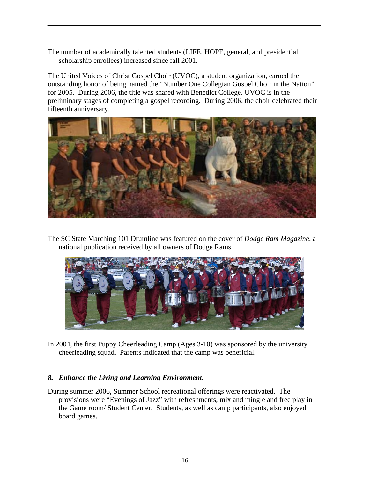The number of academically talented students (LIFE, HOPE, general, and presidential scholarship enrollees) increased since fall 2001.

The United Voices of Christ Gospel Choir (UVOC), a student organization, earned the outstanding honor of being named the "Number One Collegian Gospel Choir in the Nation" for 2005. During 2006, the title was shared with Benedict College. UVOC is in the preliminary stages of completing a gospel recording. During 2006, the choir celebrated their fifteenth anniversary.



The SC State Marching 101 Drumline was featured on the cover of *Dodge Ram Magazine*, a national publication received by all owners of Dodge Rams.



In 2004, the first Puppy Cheerleading Camp (Ages 3-10) was sponsored by the university cheerleading squad. Parents indicated that the camp was beneficial.

### *8. Enhance the Living and Learning Environment.*

During summer 2006, Summer School recreational offerings were reactivated. The provisions were "Evenings of Jazz" with refreshments, mix and mingle and free play in the Game room/ Student Center. Students, as well as camp participants, also enjoyed board games.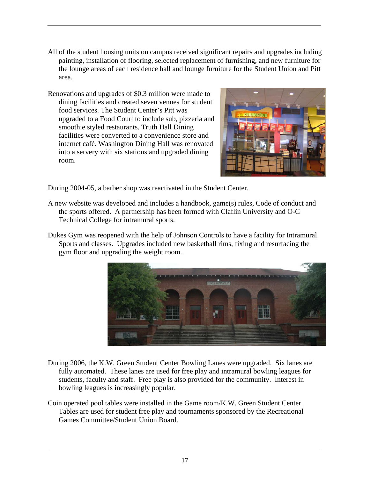- All of the student housing units on campus received significant repairs and upgrades including painting, installation of flooring, selected replacement of furnishing, and new furniture for the lounge areas of each residence hall and lounge furniture for the Student Union and Pitt area.
- Renovations and upgrades of \$0.3 million were made to dining facilities and created seven venues for student food services. The Student Center's Pitt was upgraded to a Food Court to include sub, pizzeria a nd smoothie styled restaurants. Truth Hall Dining facilities were converted to a convenience store and internet café. Washington Dining Hall was renovated into a servery with six stations and upgraded dining room.



During 2004-05, a barber shop was reactivated in the Student Center.

- A new website was developed and includes a handbook, game(s) rules, Code of conduct and the sports offered. A partnership has been formed with Claflin University and O-C Technical College for intramural sports.
- Dukes Gym was reopened with the help of Johnson Controls to have a facility for Intramural Sports and classes. Upgrades included new basketball rims, fixing and resurfacing the gym floor and upgrading the weight room.



- During 2006, the K.W. Green Student Center Bowling Lanes were upgraded. Six lanes are fully automated. These lanes are used for free play and intramural bowling leagues for students, faculty and staff. Free play is also provided for the community. Interest in bowling leagues is increasingly popular.
- Coin operated pool tables were installed in the Game room/K.W. Green Student Center. Tables are used for student free play and tournaments sponsored by the Recreational Games Committee/Student Union Board.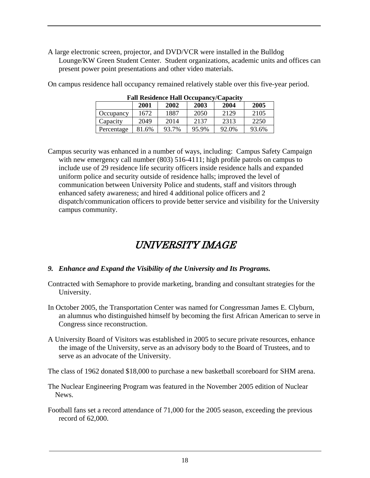A large electronic screen, projector, and DVD/VCR were installed in the Bulldog Lounge/KW Green Student Center. Student organizations, academic units and offices can present power point presentations and other video materials.

| <b>Fall Residence Hall Occupancy/Capacity</b> |       |       |       |       |       |  |  |  |  |
|-----------------------------------------------|-------|-------|-------|-------|-------|--|--|--|--|
|                                               | 2001  | 2002  | 2003  | 2004  | 2005  |  |  |  |  |
| Occupancy                                     | 1672  | 1887  | 2050  | 2129  | 2105  |  |  |  |  |
| Capacity                                      | 2049  | 2014  | 2137  | 2313  | 2250  |  |  |  |  |
| Percentage                                    | 81.6% | 93.7% | 95.9% | 92.0% | 93.6% |  |  |  |  |

On campus residence hall occupancy remained relatively stable over this five-year period.

Campus security was enhanced in a number of ways, including: Campus Safety Campaign with new emergency call number (803) 516-4111; high profile patrols on campus to include use of 29 residence life security officers inside residence halls and expanded uniform police and security outside of residence halls; improved the level of communication between University Police and students, staff and visitors through enhanced safety awareness; and hired 4 additional police officers and 2 dispatch/communication officers to provide better service and visibility for the University campus community.

# UNIVERSITY IMAGE

### *9. Enhance and Expand the Visibility of the University and Its Programs.*

- Contracted with Semaphore to provide marketing, branding and consultant strategies for the University.
- In October 2005, the Transportation Center was named for Congressman James E. Clyburn, an alumnus who distinguished himself by becoming the first African American to serve in Congress since reconstruction.
- A University Board of Visitors was established in 2005 to secure private resources, enhance the image of the University, serve as an advisory body to the Board of Trustees, and to serve as an advocate of the University.

The class of 1962 donated \$18,000 to purchase a new basketball scoreboard for SHM arena.

- The Nuclear Engineering Program was featured in the November 2005 edition of Nuclear News.
- Football fans set a record attendance of 71,000 for the 2005 season, exceeding the previous record of 62,000.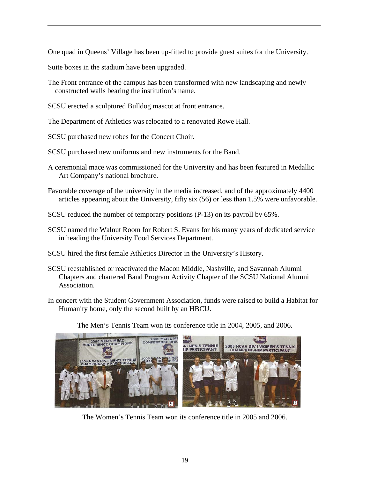One quad in Queens' Village has been up-fitted to provide guest suites for the University.

Suite boxes in the stadium have been upgraded.

- The Front entrance of the campus has been transformed with new landscaping and newly constructed walls bearing the institution's name.
- SCSU erected a sculptured Bulldog mascot at front entrance.

The Department of Athletics was relocated to a renovated Rowe Hall.

SCSU purchased new robes for the Concert Choir.

SCSU purchased new uniforms and new instruments for the Band.

- A ceremonial mace was commissioned for the University and has been featured in Medallic Art Company's national brochure.
- Favorable coverage of the university in the media increased, and of the approximately 4400 articles appearing about the University, fifty six (56) or less than 1.5% were unfavorable.
- SCSU reduced the number of temporary positions (P-13) on its payroll by 65%.
- SCSU named the Walnut Room for Robert S. Evans for his many years of dedicated service in heading the University Food Services Department.
- SCSU hired the first female Athletics Director in the University's History.
- SCSU reestablished or reactivated the Macon Middle, Nashville, and Savannah Alumni Chapters and chartered Band Program Activity Chapter of the SCSU National Alumni Association.
- In concert with the Student Government Association, funds were raised to build a Habitat for Humanity home, only the second built by an HBCU.



The Men's Tennis Team won its conference title in 2004, 2005, and 2006.

The Women's Tennis Team won its conference title in 2005 and 2006.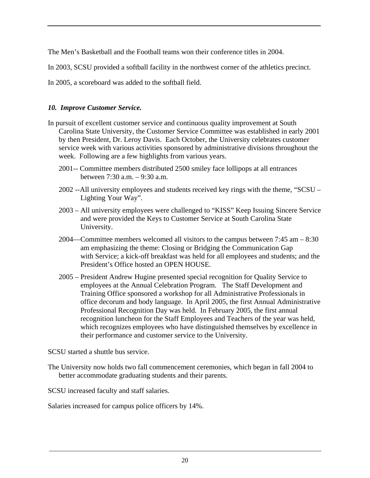The Men's Basketball and the Football teams won their conference titles in 2004.

In 2003, SCSU provided a softball facility in the northwest corner of the athletics precinct.

In 2005, a scoreboard was added to the softball field.

### *10. Improve Customer Service.*

- In pursuit of excellent customer service and continuous quality improvement at South Carolina State University, the Customer Service Committee was established in early 2001 by then President, Dr. Leroy Davis. Each October, the University celebrates customer service week with various activities sponsored by administrative divisions throughout the week. Following are a few highlights from various years.
	- 2001-- Committee members distributed 2500 smiley face lollipops at all entrances between 7:30 a.m. – 9:30 a.m.
	- 2002 --All university employees and students received key rings with the theme, "SCSU Lighting Your Way".
	- 2003 All university employees were challenged to "KISS" Keep Issuing Sincere Service and were provided the Keys to Customer Service at South Carolina State University.
	- 2004—Committee members welcomed all visitors to the campus between 7:45 am 8:30 am emphasizing the theme: Closing or Bridging the Communication Gap with Service; a kick-off breakfast was held for all employees and students; and the President's Office hosted an OPEN HOUSE.
	- 2005 President Andrew Hugine presented special recognition for Quality Service to employees at the Annual Celebration Program. The Staff Development and Training Office sponsored a workshop for all Administrative Professionals in office decorum and body language. In April 2005, the first Annual Administrative Professional Recognition Day was held. In February 2005, the first annual recognition luncheon for the Staff Employees and Teachers of the year was held, which recognizes employees who have distinguished themselves by excellence in their performance and customer service to the University.

SCSU started a shuttle bus service.

The University now holds two fall commencement ceremonies, which began in fall 2004 to better accommodate graduating students and their parents.

SCSU increased faculty and staff salaries.

Salaries increased for campus police officers by 14%.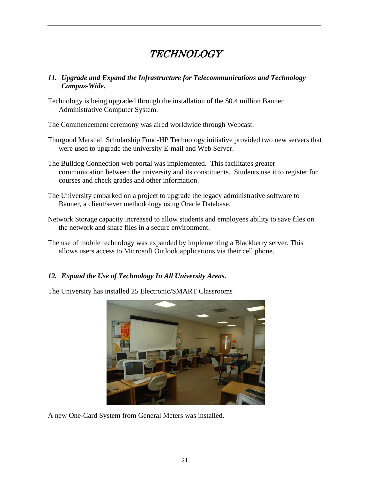# **TECHNOLOGY**

### *11. Upgrade and Expand the Infrastructure for Telecommunications and Technology Campus-Wide.*

Technology is being upgraded through the installation of the \$0.4 million Banner Administrative Computer System.

The Commencement ceremony was aired worldwide through Webcast.

- Thurgood Marshall Scholarship Fund-HP Technology initiative provided two new servers that were used to upgrade the university E-mail and Web Server.
- The Bulldog Connection web portal was implemented. This facilitates greater communication between the university and its constituents. Students use it to register for courses and check grades and other information.
- The University embarked on a project to upgrade the legacy administrative software to Banner, a client/sever methodology using Oracle Database.
- Network Storage capacity increased to allow students and employees ability to save files on the network and share files in a secure environment.
- The use of mobile technology was expanded by implementing a Blackberry server. This allows users access to Microsoft Outlook applications via their cell phone.

### *12. Expand the Use of Technology In All University Areas.*

The University has installed 25 Electronic/SMART Classrooms



A new One-Card System from General Meters was installed.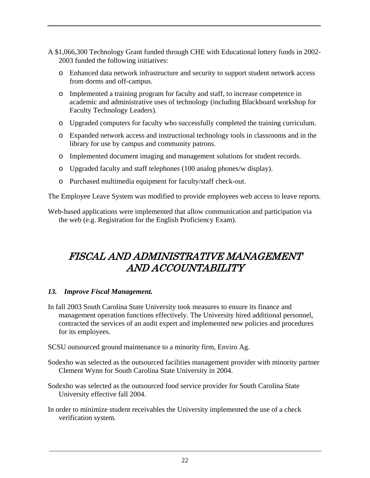A \$1,066,300 Technology Grant funded through CHE with Educational lottery funds in 2002- 2003 funded the following initiatives:

- o Enhanced data network infrastructure and security to support student network access from dorms and off-campus.
- o Implemented a training program for faculty and staff, to increase competence in academic and administrative uses of technology (including Blackboard workshop for Faculty Technology Leaders).
- o Upgraded computers for faculty who successfully completed the training curriculum.
- o Expanded network access and instructional technology tools in classrooms and in the library for use by campus and community patrons.
- o Implemented document imaging and management solutions for student records.
- o Upgraded faculty and staff telephones (100 analog phones/w display).
- o Purchased multimedia equipment for faculty/staff check-out.

The Employee Leave System was modified to provide employees web access to leave reports.

Web-based applications were implemented that allow communication and participation via the web (e.g. Registration for the English Proficiency Exam).

# FISCAL AND ADMINISTRATIVE MANAGEMENT AND ACCOUNTABILITY

### *13. Improve Fiscal Management.*

In fall 2003 South Carolina State University took measures to ensure its finance and management operation functions effectively. The University hired additional personnel, contracted the services of an audit expert and implemented new policies and procedures for its employees.

SCSU outsourced ground maintenance to a minority firm, Enviro Ag.

- Sodexho was selected as the outsourced facilities management provider with minority partner Clement Wynn for South Carolina State University in 2004.
- Sodexho was selected as the outsourced food service provider for South Carolina State University effective fall 2004.
- In order to minimize student receivables the University implemented the use of a check verification system.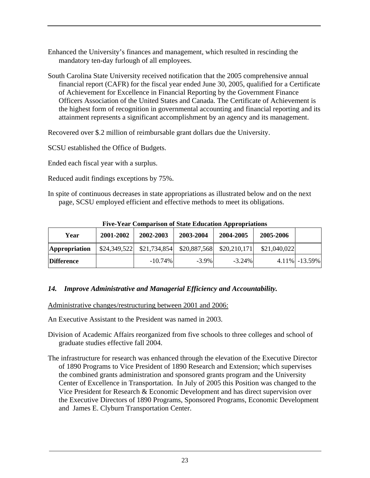Enhanced the University's finances and management, which resulted in rescinding the mandatory ten-day furlough of all employees.

South Carolina State University received notification that the 2005 comprehensive annual financial report (CAFR) for the fiscal year ended June 30, 2005, qualified for a Certificate of Achievement for Excellence in Financial Reporting by the Government Finance Officers Association of the United States and Canada. The Certificate of Achievement is the highest form of recognition in governmental accounting and financial reporting and its attainment represents a significant accomplishment by an agency and its management.

Recovered over \$.2 million of reimbursable grant dollars due the University.

SCSU established the Office of Budgets.

Ended each fiscal year with a surplus.

Reduced audit findings exceptions by 75%.

In spite of continuous decreases in state appropriations as illustrated below and on the next page, SCSU employed efficient and effective methods to meet its obligations.

| Year                 | 2001-2002 | 2002-2003                                               | 2003-2004 | 2004-2005 | 2005-2006    |                  |
|----------------------|-----------|---------------------------------------------------------|-----------|-----------|--------------|------------------|
| <b>Appropriation</b> |           | $$24,349,522$ $$21,734,854$ $$20,887,568$ $$20,210,171$ |           |           | \$21,040,022 |                  |
| <b>Difference</b>    |           | $-10.74\%$                                              | $-3.9\%$  | $-3.24\%$ |              | $4.11\%$ -13.59% |

**Five-Year Comparison of State Education Appropriations** 

### *14. Improve Administrative and Managerial Efficiency and Accountability.*

Administrative changes/restructuring between 2001 and 2006:

An Executive Assistant to the President was named in 2003.

- Division of Academic Affairs reorganized from five schools to three colleges and school of graduate studies effective fall 2004.
- The infrastructure for research was enhanced through the elevation of the Executive Director of 1890 Programs to Vice President of 1890 Research and Extension; which supervises the combined grants administration and sponsored grants program and the University Center of Excellence in Transportation. In July of 2005 this Position was changed to the Vice President for Research & Economic Development and has direct supervision over the Executive Directors of 1890 Programs, Sponsored Programs, Economic Development and James E. Clyburn Transportation Center.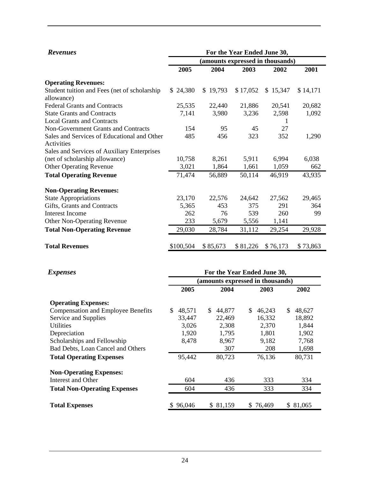| <b>Revenues</b>                                           | For the Year Ended June 30,      |          |          |          |          |  |  |  |  |
|-----------------------------------------------------------|----------------------------------|----------|----------|----------|----------|--|--|--|--|
|                                                           | (amounts expressed in thousands) |          |          |          |          |  |  |  |  |
|                                                           | 2005                             | 2004     | 2003     | 2002     | 2001     |  |  |  |  |
| <b>Operating Revenues:</b>                                |                                  |          |          |          |          |  |  |  |  |
| Student tuition and Fees (net of scholarship              | \$24,380                         | \$19,793 | \$17,052 | \$15,347 | \$14,171 |  |  |  |  |
| allowance)                                                |                                  |          |          |          |          |  |  |  |  |
| <b>Federal Grants and Contracts</b>                       | 25,535                           | 22,440   | 21,886   | 20,541   | 20,682   |  |  |  |  |
| <b>State Grants and Contracts</b>                         | 7,141                            | 3,980    | 3,236    | 2,598    | 1,092    |  |  |  |  |
| <b>Local Grants and Contracts</b>                         |                                  |          |          |          |          |  |  |  |  |
| <b>Non-Government Grants and Contracts</b>                | 154                              | 95       | 45       | 27       |          |  |  |  |  |
| Sales and Services of Educational and Other<br>Activities | 485                              | 456      | 323      | 352      | 1,290    |  |  |  |  |
| Sales and Services of Auxiliary Enterprises               |                                  |          |          |          |          |  |  |  |  |
| (net of scholarship allowance)                            | 10,758                           | 8,261    | 5,911    | 6,994    | 6,038    |  |  |  |  |
| <b>Other Operating Revenue</b>                            | 3,021                            | 1,864    | 1,661    | 1,059    | 662      |  |  |  |  |
| <b>Total Operating Revenue</b>                            | 71,474                           | 56,889   | 50,114   | 46,919   | 43,935   |  |  |  |  |
| <b>Non-Operating Revenues:</b>                            |                                  |          |          |          |          |  |  |  |  |
| <b>State Appropriations</b>                               | 23,170                           | 22,576   | 24,642   | 27,562   | 29,465   |  |  |  |  |
| Gifts, Grants and Contracts                               | 5,365                            | 453      | 375      | 291      | 364      |  |  |  |  |
| <b>Interest Income</b>                                    | 262                              | 76       | 539      | 260      | 99       |  |  |  |  |
| <b>Other Non-Operating Revenue</b>                        | 233                              | 5,679    | 5,556    | 1,141    |          |  |  |  |  |
| <b>Total Non-Operating Revenue</b>                        | 29,030                           | 28,784   | 31,112   | 29,254   | 29,928   |  |  |  |  |
| <b>Total Revenues</b>                                     | \$100,504                        | \$85,673 | \$81,226 | \$76,173 | \$73,863 |  |  |  |  |

| <i>Expenses</i>                           | For the Year Ended June 30,      |              |              |              |  |  |  |  |  |
|-------------------------------------------|----------------------------------|--------------|--------------|--------------|--|--|--|--|--|
|                                           | (amounts expressed in thousands) |              |              |              |  |  |  |  |  |
|                                           | 2005                             | 2004         | 2003         | 2002         |  |  |  |  |  |
| <b>Operating Expenses:</b>                |                                  |              |              |              |  |  |  |  |  |
| <b>Compensation and Employee Benefits</b> | \$<br>48,571                     | \$<br>44,877 | \$<br>46,243 | \$<br>48,627 |  |  |  |  |  |
| Service and Supplies                      | 33,447                           | 22,469       | 16,332       | 18,892       |  |  |  |  |  |
| Utilities                                 | 3,026                            | 2,308        | 2,370        | 1,844        |  |  |  |  |  |
| Depreciation                              | 1,920                            | 1,795        | 1,801        | 1,902        |  |  |  |  |  |
| Scholarships and Fellowship               | 8,478                            | 8,967        | 9,182        | 7,768        |  |  |  |  |  |
| Bad Debts, Loan Cancel and Others         |                                  | 307          | 208          | 1,698        |  |  |  |  |  |
| <b>Total Operating Expenses</b>           | 95,442                           | 80,723       | 76,136       | 80,731       |  |  |  |  |  |
| <b>Non-Operating Expenses:</b>            |                                  |              |              |              |  |  |  |  |  |
| Interest and Other                        | 604                              | 436          | 333          | 334          |  |  |  |  |  |
| <b>Total Non-Operating Expenses</b>       | 604                              | 436          | 333          | 334          |  |  |  |  |  |
| <b>Total Expenses</b>                     | \$96,046                         | \$81,159     | \$76,469     | \$ 81,065    |  |  |  |  |  |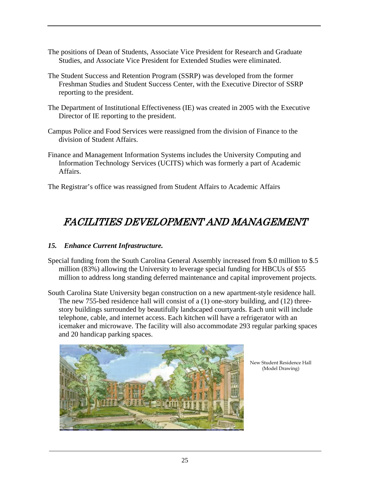- The positions of Dean of Students, Associate Vice President for Research and Graduate Studies, and Associate Vice President for Extended Studies were eliminated.
- The Student Success and Retention Program (SSRP) was developed from the former Freshman Studies and Student Success Center, with the Executive Director of SSRP reporting to the president.
- The Department of Institutional Effectiveness (IE) was created in 2005 with the Executive Director of IE reporting to the president.
- Campus Police and Food Services were reassigned from the division of Finance to the division of Student Affairs.
- Finance and Management Information Systems includes the University Computing and Information Technology Services (UCITS) which was formerly a part of Academic Affairs.

The Registrar's office was reassigned from Student Affairs to Academic Affairs

### FACILITIES DEVELOPMENT AND MANAGEMENT

### *15. Enhance Current Infrastructure.*

- Special funding from the South Carolina General Assembly increased from \$.0 million to \$.5 million (83%) allowing the University to leverage special funding for HBCUs of \$55 million to address long standing deferred maintenance and capital improvement projects.
- South Carolina State University began construction on a new apartment-style residence hall. The new 755-bed residence hall will consist of a (1) one-story building, and (12) threestory buildings surrounded by beautifully landscaped courtyards. Each unit will include telephone, cable, and internet access. Each kitchen will have a refrigerator with an icemaker and microwave. The facility will also accommodate 293 regular parking spaces and 20 handicap parking spaces.



New Student Residence Hall (Model Drawing)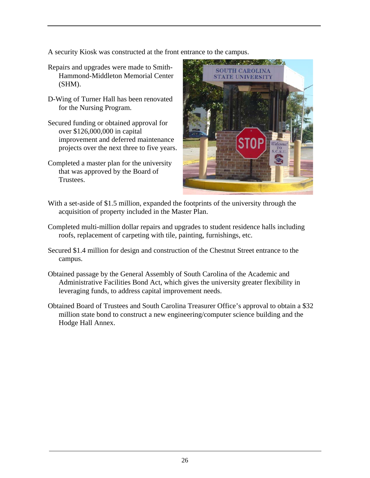A security Kiosk was constructed at the front entrance to the campus.

- Repairs and upgrades were made to Smith-Hammond-Middleton Memorial Center (SHM).
- D-Wing of Turner Hall has been renovated for the Nursing Program.
- Secured funding or obtained approval for over \$126,000,000 in capital improvement and deferred maintenance projects over the next three to five years.
- Completed a master plan for the university that was approved by the Board of Trustees.



- With a set-aside of \$1.5 million, expanded the footprints of the university through the acquisition of property included in the Master Plan.
- Completed multi-million dollar repairs and upgrades to student residence halls including roofs, replacement of carpeting with tile, painting, furnishings, etc.
- Secured \$1.4 million for design and construction of the Chestnut Street entrance to the campus.
- Obtained passage by the General Assembly of South Carolina of the Academic and Administrative Facilities Bond Act, which gives the university greater flexibility in leveraging funds, to address capital improvement needs.
- Obtained Board of Trustees and South Carolina Treasurer Office's approval to obtain a \$32 million state bond to construct a new engineering/computer science building and the Hodge Hall Annex.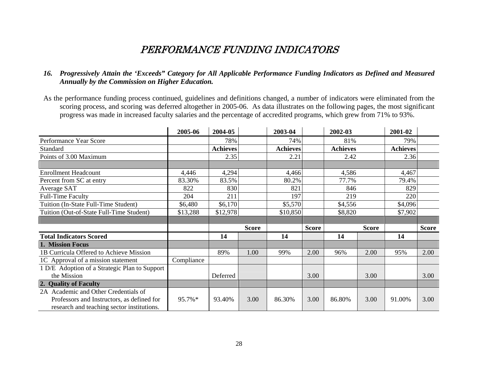### PERFORMANCE FUNDING INDICATORS

#### *16. Progressively Attain the 'Exceeds" Category for All Applicable Performance Funding Indicators as Defined and Measured Annually by the Commission on Higher Education.*

As the performance funding process continued, guidelines and definitions changed, a number of indicators were eliminated from the scoring process, and scoring was deferred altogether in 2005-06. As data illustrates on the following pages, the most significant progress was made in increased faculty salaries and the percentage of accredited programs, which grew from 71% to 93%.

|                                               | 2005-06    | 2004-05         |              | 2003-04         |              | 2002-03         |              | 2001-02         |              |
|-----------------------------------------------|------------|-----------------|--------------|-----------------|--------------|-----------------|--------------|-----------------|--------------|
| Performance Year Score                        |            | 78%             |              | 74%             |              | 81%             |              | 79%             |              |
| Standard                                      |            | <b>Achieves</b> |              | <b>Achieves</b> |              | <b>Achieves</b> |              | <b>Achieves</b> |              |
| Points of 3.00 Maximum                        |            | 2.35            |              | 2.21            |              | 2.42            |              | 2.36            |              |
|                                               |            |                 |              |                 |              |                 |              |                 |              |
| <b>Enrollment Headcount</b>                   | 4,446      | 4,294           |              | 4,466           |              | 4,586           |              | 4,467           |              |
| Percent from SC at entry                      | 83.30%     | 83.5%           |              | 80.2%           |              | 77.7%           |              | 79.4%           |              |
| Average SAT                                   | 822        | 830             |              | 821             |              | 846             |              | 829             |              |
| <b>Full-Time Faculty</b>                      | 204        | 211             |              | 197             |              | 219             |              | 220             |              |
| Tuition (In-State Full-Time Student)          | \$6,480    | \$6,170         |              | \$5,570         |              | \$4,556         |              | \$4,096         |              |
| Tuition (Out-of-State Full-Time Student)      | \$13,288   | \$12,978        |              | \$10,850        |              | \$8,820         |              | \$7,902         |              |
|                                               |            |                 |              |                 |              |                 |              |                 |              |
|                                               |            |                 | <b>Score</b> |                 | <b>Score</b> |                 | <b>Score</b> |                 | <b>Score</b> |
| <b>Total Indicators Scored</b>                |            | 14              |              | 14              |              | 14              |              | 14              |              |
| 1. Mission Focus                              |            |                 |              |                 |              |                 |              |                 |              |
| 1B Curricula Offered to Achieve Mission       |            | 89%             | 1.00         | 99%             | 2.00         | 96%             | 2.00         | 95%             | 2.00         |
| 1C Approval of a mission statement            | Compliance |                 |              |                 |              |                 |              |                 |              |
| 1 D/E Adoption of a Strategic Plan to Support |            |                 |              |                 |              |                 |              |                 |              |
| the Mission                                   |            | Deferred        |              |                 | 3.00         |                 | 3.00         |                 | 3.00         |
| 2. Quality of Faculty                         |            |                 |              |                 |              |                 |              |                 |              |
| 2A Academic and Other Credentials of          |            |                 |              |                 |              |                 |              |                 |              |
| Professors and Instructors, as defined for    | 95.7%*     | 93.40%          | 3.00         | 86.30%          | 3.00         | 86.80%          | 3.00         | 91.00%          | 3.00         |
| research and teaching sector institutions.    |            |                 |              |                 |              |                 |              |                 |              |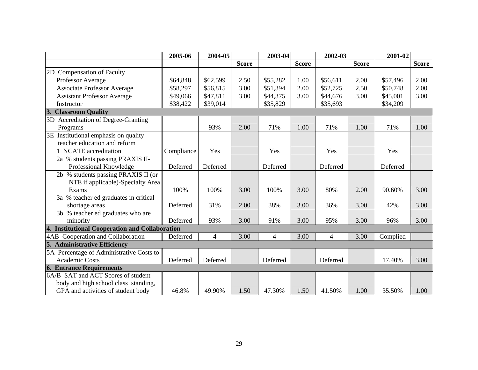|                                                | 2005-06    | 2004-05  |              | 2003-04        |              | 2002-03        |              | 2001-02  |              |
|------------------------------------------------|------------|----------|--------------|----------------|--------------|----------------|--------------|----------|--------------|
|                                                |            |          | <b>Score</b> |                | <b>Score</b> |                | <b>Score</b> |          | <b>Score</b> |
| <b>Compensation of Faculty</b><br>2D           |            |          |              |                |              |                |              |          |              |
| Professor Average                              | \$64,848   | \$62,599 | 2.50         | \$55,282       | 1.00         | \$56,611       | 2.00         | \$57,496 | 2.00         |
| <b>Associate Professor Average</b>             | \$58,297   | \$56,815 | 3.00         | \$51,394       | 2.00         | \$52,725       | 2.50         | \$50,748 | 2.00         |
| <b>Assistant Professor Average</b>             | \$49,066   | \$47,811 | 3.00         | \$44,375       | 3.00         | \$44,676       | 3.00         | \$45,001 | 3.00         |
| Instructor                                     | \$38,422   | \$39,014 |              | \$35,829       |              | \$35,693       |              | \$34,209 |              |
| 3. Classroom Quality                           |            |          |              |                |              |                |              |          |              |
| 3D Accreditation of Degree-Granting            |            |          |              |                |              |                |              |          |              |
| Programs                                       |            | 93%      | 2.00         | 71%            | 1.00         | 71%            | 1.00         | 71%      | 1.00         |
| 3E Institutional emphasis on quality           |            |          |              |                |              |                |              |          |              |
| teacher education and reform                   |            |          |              |                |              |                |              |          |              |
| 1 NCATE accreditation                          | Compliance | Yes      |              | Yes            |              | Yes            |              | Yes      |              |
| 2a % students passing PRAXIS II-               |            |          |              |                |              |                |              |          |              |
| Professional Knowledge                         | Deferred   | Deferred |              | Deferred       |              | Deferred       |              | Deferred |              |
| 2b % students passing PRAXIS II (or            |            |          |              |                |              |                |              |          |              |
| NTE if applicable)-Specialty Area              |            |          |              |                |              |                |              |          |              |
| Exams                                          | 100%       | 100%     | 3.00         | 100%           | 3.00         | 80%            | 2.00         | 90.60%   | 3.00         |
| 3a % teacher ed graduates in critical          |            |          |              |                |              |                |              |          |              |
| shortage areas                                 | Deferred   | 31%      | 2.00         | 38%            | 3.00         | 36%            | 3.00         | 42%      | 3.00         |
| 3b % teacher ed graduates who are              |            |          |              |                |              |                |              |          |              |
| minority                                       | Deferred   | 93%      | 3.00         | 91%            | 3.00         | 95%            | 3.00         | 96%      | 3.00         |
| 4. Institutional Cooperation and Collaboration |            |          |              |                |              |                |              |          |              |
| 4AB Cooperation and Collaboration              | Deferred   | 4        | 3.00         | $\overline{4}$ | 3.00         | $\overline{4}$ | 3.00         | Complied |              |
| 5. Administrative Efficiency                   |            |          |              |                |              |                |              |          |              |
| 5A Percentage of Administrative Costs to       |            |          |              |                |              |                |              |          |              |
| <b>Academic Costs</b>                          | Deferred   | Deferred |              | Deferred       |              | Deferred       |              | 17.40%   | 3.00         |
| <b>6. Entrance Requirements</b>                |            |          |              |                |              |                |              |          |              |
| 6A/B SAT and ACT Scores of student             |            |          |              |                |              |                |              |          |              |
| body and high school class standing,           |            |          |              |                |              |                |              |          |              |
| GPA and activities of student body             | 46.8%      | 49.90%   | 1.50         | 47.30%         | 1.50         | 41.50%         | 1.00         | 35.50%   | 1.00         |